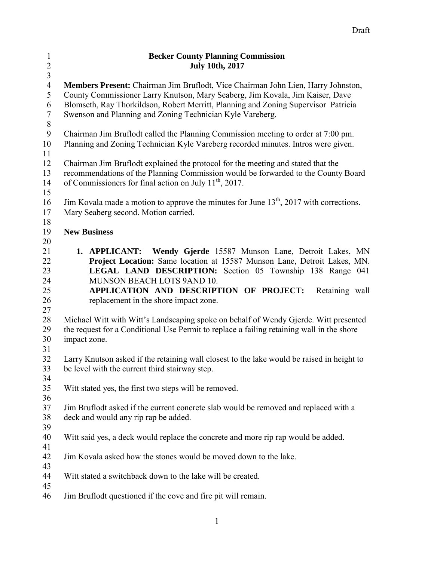| $\mathbf{1}$     | <b>Becker County Planning Commission</b>                                                                                             |
|------------------|--------------------------------------------------------------------------------------------------------------------------------------|
| $\overline{c}$   | <b>July 10th, 2017</b>                                                                                                               |
| $\overline{3}$   |                                                                                                                                      |
| $\overline{4}$   | Members Present: Chairman Jim Bruflodt, Vice Chairman John Lien, Harry Johnston,                                                     |
| 5                | County Commissioner Larry Knutson, Mary Seaberg, Jim Kovala, Jim Kaiser, Dave                                                        |
| 6                | Blomseth, Ray Thorkildson, Robert Merritt, Planning and Zoning Supervisor Patricia                                                   |
| $\tau$           | Swenson and Planning and Zoning Technician Kyle Vareberg.                                                                            |
| $\, 8$           |                                                                                                                                      |
| $\boldsymbol{9}$ | Chairman Jim Bruflodt called the Planning Commission meeting to order at 7:00 pm.                                                    |
| 10               | Planning and Zoning Technician Kyle Vareberg recorded minutes. Intros were given.                                                    |
| 11               |                                                                                                                                      |
| 12               | Chairman Jim Bruflodt explained the protocol for the meeting and stated that the                                                     |
| 13               | recommendations of the Planning Commission would be forwarded to the County Board                                                    |
| 14               | of Commissioners for final action on July $11^{th}$ , 2017.                                                                          |
| 15               |                                                                                                                                      |
| 16               | Jim Kovala made a motion to approve the minutes for June 13 <sup>th</sup> , 2017 with corrections.                                   |
| 17               | Mary Seaberg second. Motion carried.                                                                                                 |
| 18               |                                                                                                                                      |
| 19               | <b>New Business</b>                                                                                                                  |
| 20               | 1. APPLICANT:                                                                                                                        |
| 21<br>22         | <b>Wendy Gjerde</b> 15587 Munson Lane, Detroit Lakes, MN<br>Project Location: Same location at 15587 Munson Lane, Detroit Lakes, MN. |
| 23               | LEGAL LAND DESCRIPTION: Section 05 Township 138 Range 041                                                                            |
| 24               | MUNSON BEACH LOTS 9AND 10.                                                                                                           |
| 25               | APPLICATION AND DESCRIPTION OF PROJECT:<br>Retaining wall                                                                            |
| 26               | replacement in the shore impact zone.                                                                                                |
| 27               |                                                                                                                                      |
| 28               | Michael Witt with Witt's Landscaping spoke on behalf of Wendy Gjerde. Witt presented                                                 |
| 29               | the request for a Conditional Use Permit to replace a failing retaining wall in the shore                                            |
| 30               | impact zone.                                                                                                                         |
| 31               |                                                                                                                                      |
| 32               | Larry Knutson asked if the retaining wall closest to the lake would be raised in height to                                           |
| 33               | be level with the current third stairway step.                                                                                       |
| 34               |                                                                                                                                      |
| 35               | Witt stated yes, the first two steps will be removed.                                                                                |
| 36               |                                                                                                                                      |
| 37               | Jim Bruflodt asked if the current concrete slab would be removed and replaced with a                                                 |
| 38               | deck and would any rip rap be added.                                                                                                 |
| 39               |                                                                                                                                      |
| 40               | Witt said yes, a deck would replace the concrete and more rip rap would be added.                                                    |
| 41               |                                                                                                                                      |
| 42               | Jim Kovala asked how the stones would be moved down to the lake.                                                                     |
| 43               |                                                                                                                                      |
| 44               | Witt stated a switchback down to the lake will be created.                                                                           |
| 45               |                                                                                                                                      |
| 46               | Jim Bruflodt questioned if the cove and fire pit will remain.                                                                        |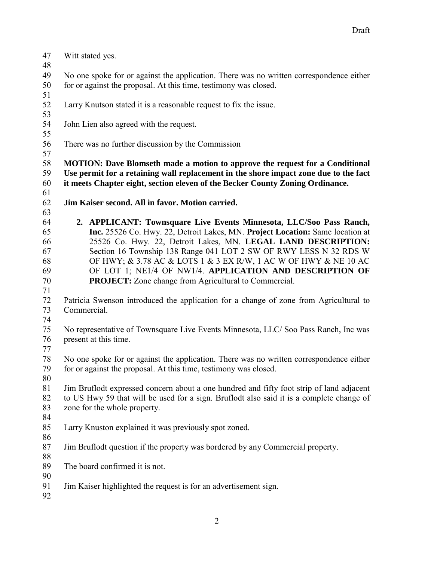| 47<br>48 | Witt stated yes.                                                                         |
|----------|------------------------------------------------------------------------------------------|
| 49       | No one spoke for or against the application. There was no written correspondence either  |
| 50<br>51 | for or against the proposal. At this time, testimony was closed.                         |
| 52<br>53 | Larry Knutson stated it is a reasonable request to fix the issue.                        |
| 54<br>55 | John Lien also agreed with the request.                                                  |
| 56<br>57 | There was no further discussion by the Commission                                        |
| 58       | <b>MOTION:</b> Dave Blomseth made a motion to approve the request for a Conditional      |
| 59       | Use permit for a retaining wall replacement in the shore impact zone due to the fact     |
| 60       | it meets Chapter eight, section eleven of the Becker County Zoning Ordinance.            |
| 61       |                                                                                          |
| 62       | Jim Kaiser second. All in favor. Motion carried.                                         |
| 63       |                                                                                          |
| 64       | 2. APPLICANT: Townsquare Live Events Minnesota, LLC/Soo Pass Ranch,                      |
| 65       | Inc. 25526 Co. Hwy. 22, Detroit Lakes, MN. Project Location: Same location at            |
| 66       | 25526 Co. Hwy. 22, Detroit Lakes, MN. LEGAL LAND DESCRIPTION:                            |
| 67       | Section 16 Township 138 Range 041 LOT 2 SW OF RWY LESS N 32 RDS W                        |
| 68       | OF HWY; & 3.78 AC & LOTS 1 & 3 EX R/W, 1 AC W OF HWY & NE 10 AC                          |
| 69       | OF LOT 1; NE1/4 OF NW1/4. APPLICATION AND DESCRIPTION OF                                 |
| 70       | <b>PROJECT:</b> Zone change from Agricultural to Commercial.                             |
| 71       |                                                                                          |
| 72       | Patricia Swenson introduced the application for a change of zone from Agricultural to    |
| 73       | Commercial.                                                                              |
| 74       |                                                                                          |
| 75       | No representative of Townsquare Live Events Minnesota, LLC/Soo Pass Ranch, Inc was       |
| 76       | present at this time.                                                                    |
| 77       |                                                                                          |
| 78       | No one spoke for or against the application. There was no written correspondence either  |
| 79       | for or against the proposal. At this time, testimony was closed.                         |
| 80       |                                                                                          |
| 81       | Jim Bruflodt expressed concern about a one hundred and fifty foot strip of land adjacent |
| 82       | to US Hwy 59 that will be used for a sign. Bruflodt also said it is a complete change of |
| 83       | zone for the whole property.                                                             |
| 84       |                                                                                          |
| 85       | Larry Knuston explained it was previously spot zoned.                                    |
| 86       |                                                                                          |
| 87       | Jim Bruflodt question if the property was bordered by any Commercial property.           |
| 88       |                                                                                          |
| 89       | The board confirmed it is not.                                                           |
| 90       |                                                                                          |
| 91       | Jim Kaiser highlighted the request is for an advertisement sign.                         |
| 92       |                                                                                          |